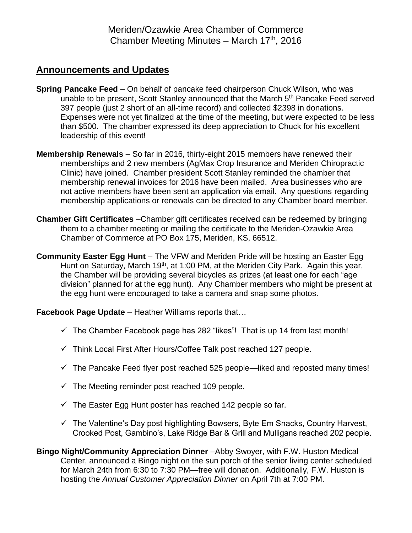Meriden/Ozawkie Area Chamber of Commerce Chamber Meeting Minutes - March 17th, 2016

## **Announcements and Updates**

- **Spring Pancake Feed** On behalf of pancake feed chairperson Chuck Wilson, who was unable to be present, Scott Stanley announced that the March 5<sup>th</sup> Pancake Feed served 397 people (just 2 short of an all-time record) and collected \$2398 in donations. Expenses were not yet finalized at the time of the meeting, but were expected to be less than \$500. The chamber expressed its deep appreciation to Chuck for his excellent leadership of this event!
- **Membership Renewals** So far in 2016, thirty-eight 2015 members have renewed their memberships and 2 new members (AgMax Crop Insurance and Meriden Chiropractic Clinic) have joined. Chamber president Scott Stanley reminded the chamber that membership renewal invoices for 2016 have been mailed. Area businesses who are not active members have been sent an application via email. Any questions regarding membership applications or renewals can be directed to any Chamber board member.
- **Chamber Gift Certificates** –Chamber gift certificates received can be redeemed by bringing them to a chamber meeting or mailing the certificate to the Meriden-Ozawkie Area Chamber of Commerce at PO Box 175, Meriden, KS, 66512.
- **Community Easter Egg Hunt** The VFW and Meriden Pride will be hosting an Easter Egg Hunt on Saturday, March 19<sup>th</sup>, at 1:00 PM, at the Meriden City Park. Again this year, the Chamber will be providing several bicycles as prizes (at least one for each "age division" planned for at the egg hunt). Any Chamber members who might be present at the egg hunt were encouraged to take a camera and snap some photos.

**Facebook Page Update** – Heather Williams reports that…

- $\checkmark$  The Chamber Facebook page has 282 "likes"! That is up 14 from last month!
- $\checkmark$  Think Local First After Hours/Coffee Talk post reached 127 people.
- $\checkmark$  The Pancake Feed flyer post reached 525 people—liked and reposted many times!
- $\checkmark$  The Meeting reminder post reached 109 people.
- $\checkmark$  The Easter Egg Hunt poster has reached 142 people so far.
- $\checkmark$  The Valentine's Day post highlighting Bowsers, Byte Em Snacks, Country Harvest, Crooked Post, Gambino's, Lake Ridge Bar & Grill and Mulligans reached 202 people.

**Bingo Night/Community Appreciation Dinner** –Abby Swoyer, with F.W. Huston Medical Center, announced a Bingo night on the sun porch of the senior living center scheduled for March 24th from 6:30 to 7:30 PM—free will donation. Additionally, F.W. Huston is hosting the *Annual Customer Appreciation Dinner* on April 7th at 7:00 PM.